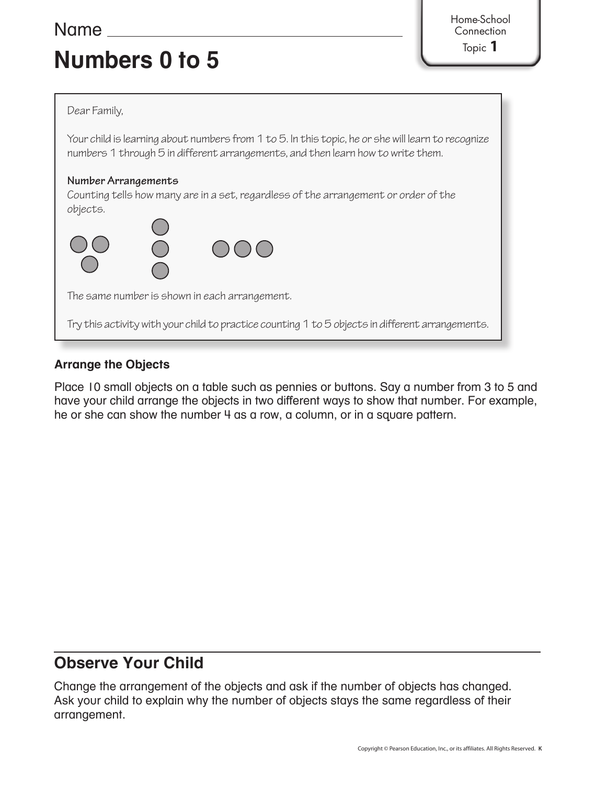## **Numbers 0 to 5**

Name Home-School **Connection** 

Topic **1**

#### Dear Family,

Your child is learning about numbers from 1 to 5. In this topic, he or she will learn to recognize numbers 1 through 5 in different arrangements, and then learn how to write them.

#### **Number Arrangements**

Counting tells how many are in a set, regardless of the arrangement or order of the objects.



Try this activity with your child to practice counting 1 to 5 objects in different arrangements.

## **Arrange the Objects**

Place 10 small objects on a table such as pennies or buttons. Say a number from 3 to 5 and have your child arrange the objects in two different ways to show that number. For example, he or she can show the number 4 as a row, a column, or in a square pattern.

## **Observe Your Child**

Change the arrangement of the objects and ask if the number of objects has changed. Ask your child to explain why the number of objects stays the same regardless of their arrangement.